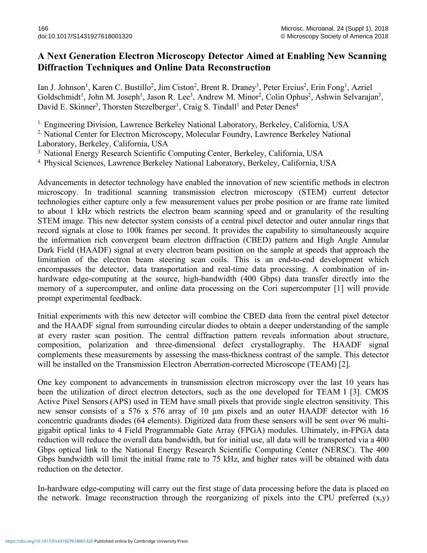## **A Next Generation Electron Microscopy Detector Aimed at Enabling New Scanning Diffraction Techniques and Online Data Reconstruction**

Ian J. Johnson<sup>1</sup>, Karen C. Bustillo<sup>2</sup>, Jim Ciston<sup>2</sup>, Brent R. Draney<sup>3</sup>, Peter Ercius<sup>2</sup>, Erin Fong<sup>1</sup>, Azriel Goldschmidt<sup>1</sup>, John M. Joseph<sup>1</sup>, Jason R. Lee<sup>3</sup>, Andrew M. Minor<sup>2</sup>, Colin Ophus<sup>2</sup>, Ashwin Selvarajan<sup>3</sup>, David E. Skinner<sup>3</sup>, Thorsten Stezelberger<sup>1</sup>, Craig S. Tindall<sup>1</sup> and Peter Denes<sup>4</sup>

<sup>1.</sup> Engineering Division, Lawrence Berkeley National Laboratory, Berkeley, California, USA

2. National Center for Electron Microscopy, Molecular Foundry, Lawrence Berkeley National Laboratory, Berkeley, California, USA

<sup>3.</sup> National Energy Research Scientific Computing Center, Berkeley, California, USA

4. Physical Sciences, Lawrence Berkeley National Laboratory, Berkeley, California, USA

Advancements in detector technology have enabled the innovation of new scientific methods in electron microscopy. In traditional scanning transmission electron microscopy (STEM) current detector technologies either capture only a few measurement values per probe position or are frame rate limited to about 1 kHz which restricts the electron beam scanning speed and or granularity of the resulting STEM image. This new detector system consists of a central pixel detector and outer annular rings that record signals at close to 100k frames per second. It provides the capability to simultaneously acquire the information rich convergent beam electron diffraction (CBED) pattern and High Angle Annular Dark Field (HAADF) signal at every electron beam position on the sample at speeds that approach the limitation of the electron beam steering scan coils. This is an end-to-end development which encompasses the detector, data transportation and real-time data processing. A combination of inhardware edge-computing at the source, high-bandwidth (400 Gbps) data transfer directly into the memory of a supercomputer, and online data processing on the Cori supercomputer [1] will provide prompt experimental feedback.

Initial experiments with this new detector will combine the CBED data from the central pixel detector and the HAADF signal from surrounding circular diodes to obtain a deeper understanding of the sample at every raster scan position. The central diffraction pattern reveals information about structure, composition, polarization and three-dimensional defect crystallography. The HAADF signal complements these measurements by assessing the mass-thickness contrast of the sample. This detector will be installed on the Transmission Electron Aberration-corrected Microscope (TEAM) [2].

One key component to advancements in transmission electron microscopy over the last 10 years has been the utilization of direct electron detectors, such as the one developed for TEAM I [3]. CMOS Active Pixel Sensors (APS) used in TEM have small pixels that provide single electron sensitivity. This new sensor consists of a 576 x 576 array of 10 µm pixels and an outer HAADF detector with 16 concentric quadrants diodes (64 elements). Digitized data from these sensors will be sent over 96 multigigabit optical links to 4 Field Programmable Gate Array (FPGA) modules. Ultimately, in-FPGA data reduction will reduce the overall data bandwidth, but for initial use, all data will be transported via a 400 Gbps optical link to the National Energy Research Scientific Computing Center (NERSC). The 400 Gbps bandwidth will limit the initial frame rate to 75 kHz, and higher rates will be obtained with data reduction on the detector.

In-hardware edge-computing will carry out the first stage of data processing before the data is placed on the network. Image reconstruction through the reorganizing of pixels into the CPU preferred  $(x,y)$